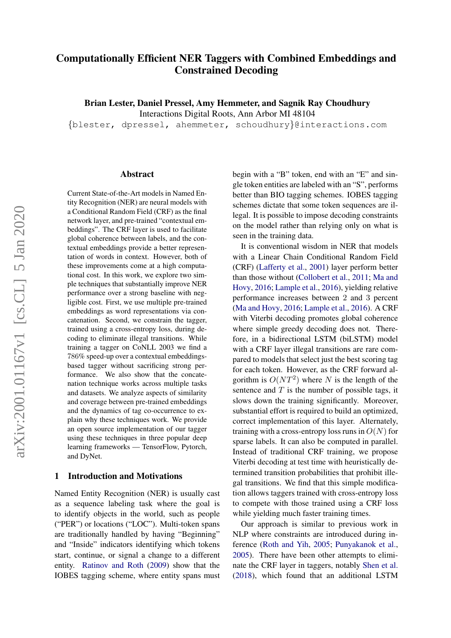# Computationally Efficient NER Taggers with Combined Embeddings and Constrained Decoding

Brian Lester, Daniel Pressel, Amy Hemmeter, and Sagnik Ray Choudhury

Interactions Digital Roots, Ann Arbor MI 48104

{blester, dpressel, ahemmeter, schoudhury}@interactions.com

#### Abstract

Current State-of-the-Art models in Named Entity Recognition (NER) are neural models with a Conditional Random Field (CRF) as the final network layer, and pre-trained "contextual embeddings". The CRF layer is used to facilitate global coherence between labels, and the contextual embeddings provide a better representation of words in context. However, both of these improvements come at a high computational cost. In this work, we explore two simple techniques that substantially improve NER performance over a strong baseline with negligible cost. First, we use multiple pre-trained embeddings as word representations via concatenation. Second, we constrain the tagger, trained using a cross-entropy loss, during decoding to eliminate illegal transitions. While training a tagger on CoNLL 2003 we find a 786% speed-up over a contextual embeddingsbased tagger without sacrificing strong performance. We also show that the concatenation technique works across multiple tasks and datasets. We analyze aspects of similarity and coverage between pre-trained embeddings and the dynamics of tag co-occurrence to explain why these techniques work. We provide an open source implementation of our tagger using these techniques in three popular deep learning frameworks — TensorFlow, Pytorch, and DyNet.

### 1 Introduction and Motivations

Named Entity Recognition (NER) is usually cast as a sequence labeling task where the goal is to identify objects in the world, such as people ("PER") or locations ("LOC"). Multi-token spans are traditionally handled by having "Beginning" and "Inside" indicators identifying which tokens start, continue, or signal a change to a different entity. [Ratinov and Roth](#page-4-0) [\(2009\)](#page-4-0) show that the IOBES tagging scheme, where entity spans must

begin with a "B" token, end with an "E" and single token entities are labeled with an "S", performs better than BIO tagging schemes. IOBES tagging schemes dictate that some token sequences are illegal. It is possible to impose decoding constraints on the model rather than relying only on what is seen in the training data.

It is conventional wisdom in NER that models with a Linear Chain Conditional Random Field (CRF) [\(Lafferty et al.,](#page-4-1) [2001\)](#page-4-1) layer perform better than those without [\(Collobert et al.,](#page-4-2) [2011;](#page-4-2) [Ma and](#page-4-3) [Hovy,](#page-4-3) [2016;](#page-4-3) [Lample et al.,](#page-4-4) [2016\)](#page-4-4), yielding relative performance increases between 2 and 3 percent [\(Ma and Hovy,](#page-4-3) [2016;](#page-4-3) [Lample et al.,](#page-4-4) [2016\)](#page-4-4). A CRF with Viterbi decoding promotes global coherence where simple greedy decoding does not. Therefore, in a bidirectional LSTM (biLSTM) model with a CRF layer illegal transitions are rare compared to models that select just the best scoring tag for each token. However, as the CRF forward algorithm is  $O(NT^2)$  where N is the length of the sentence and  $T$  is the number of possible tags, it slows down the training significantly. Moreover, substantial effort is required to build an optimized, correct implementation of this layer. Alternately, training with a cross-entropy loss runs in  $O(N)$  for sparse labels. It can also be computed in parallel. Instead of traditional CRF training, we propose Viterbi decoding at test time with heuristically determined transition probabilities that prohibit illegal transitions. We find that this simple modification allows taggers trained with cross-entropy loss to compete with those trained using a CRF loss while yielding much faster training times.

Our approach is similar to previous work in NLP where constraints are introduced during inference [\(Roth and Yih,](#page-4-5) [2005;](#page-4-5) [Punyakanok et al.,](#page-4-6) [2005\)](#page-4-6). There have been other attempts to eliminate the CRF layer in taggers, notably [Shen et al.](#page-4-7) [\(2018\)](#page-4-7), which found that an additional LSTM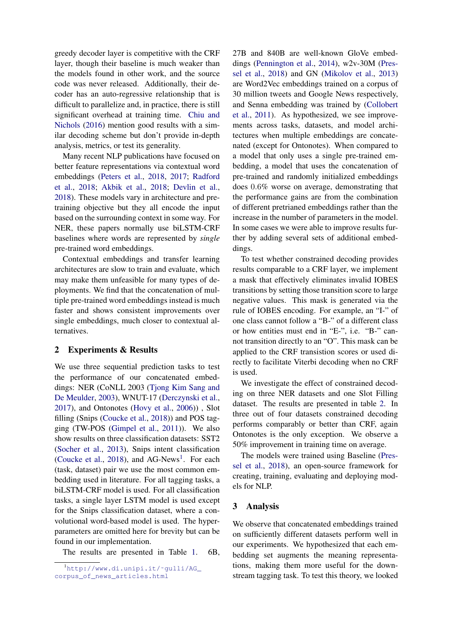greedy decoder layer is competitive with the CRF layer, though their baseline is much weaker than the models found in other work, and the source code was never released. Additionally, their decoder has an auto-regressive relationship that is difficult to parallelize and, in practice, there is still significant overhead at training time. [Chiu and](#page-4-8) [Nichols](#page-4-8) [\(2016\)](#page-4-8) mention good results with a similar decoding scheme but don't provide in-depth analysis, metrics, or test its generality.

Many recent NLP publications have focused on better feature representations via contextual word embeddings [\(Peters et al.,](#page-4-9) [2018,](#page-4-9) [2017;](#page-4-10) [Radford](#page-4-11) [et al.,](#page-4-11) [2018;](#page-4-11) [Akbik et al.,](#page-3-0) [2018;](#page-3-0) [Devlin et al.,](#page-4-12) [2018\)](#page-4-12). These models vary in architecture and pretraining objective but they all encode the input based on the surrounding context in some way. For NER, these papers normally use biLSTM-CRF baselines where words are represented by *single* pre-trained word embeddings.

Contextual embeddings and transfer learning architectures are slow to train and evaluate, which may make them unfeasible for many types of deployments. We find that the concatenation of multiple pre-trained word embeddings instead is much faster and shows consistent improvements over single embeddings, much closer to contextual alternatives.

# 2 Experiments & Results

We use three sequential prediction tasks to test the performance of our concatenated embeddings: NER (CoNLL 2003 [\(Tjong Kim Sang and](#page-5-0) [De Meulder,](#page-5-0) [2003\)](#page-5-0), WNUT-17 [\(Derczynski et al.,](#page-4-13) [2017\)](#page-4-13), and Ontonotes [\(Hovy et al.,](#page-4-14) [2006\)](#page-4-14)) , Slot filling (Snips [\(Coucke et al.,](#page-4-15) [2018\)](#page-4-15)) and POS tagging (TW-POS [\(Gimpel et al.,](#page-4-16) [2011\)](#page-4-16)). We also show results on three classification datasets: SST2 [\(Socher et al.,](#page-5-1) [2013\)](#page-5-1), Snips intent classification [\(Coucke et al.,](#page-4-15) [2018\)](#page-4-15), and AG-News<sup>[1](#page-1-0)</sup>. For each (task, dataset) pair we use the most common embedding used in literature. For all tagging tasks, a biLSTM-CRF model is used. For all classification tasks, a single layer LSTM model is used except for the Snips classification dataset, where a convolutional word-based model is used. The hyperparameters are omitted here for brevity but can be found in our implementation.

The results are presented in Table [1.](#page-2-0) 6B,

27B and 840B are well-known GloVe embeddings [\(Pennington et al.,](#page-4-17) [2014\)](#page-4-17), w2v-30M [\(Pres](#page-4-18)[sel et al.,](#page-4-18) [2018\)](#page-4-18) and GN [\(Mikolov et al.,](#page-4-19) [2013\)](#page-4-19) are Word2Vec embeddings trained on a corpus of 30 million tweets and Google News respectively, and Senna embedding was trained by [\(Collobert](#page-4-2) [et al.,](#page-4-2) [2011\)](#page-4-2). As hypothesized, we see improvements across tasks, datasets, and model architectures when multiple embeddings are concatenated (except for Ontonotes). When compared to a model that only uses a single pre-trained embedding, a model that uses the concatenation of pre-trained and randomly initialized embeddings does 0.6% worse on average, demonstrating that the performance gains are from the combination of different pretrianed embeddings rather than the increase in the number of parameters in the model. In some cases we were able to improve results further by adding several sets of additional embeddings.

To test whether constrained decoding provides results comparable to a CRF layer, we implement a mask that effectively eliminates invalid IOBES transitions by setting those transition score to large negative values. This mask is generated via the rule of IOBES encoding. For example, an "I-" of one class cannot follow a "B-" of a different class or how entities must end in "E-", i.e. "B-" cannot transition directly to an "O". This mask can be applied to the CRF transistion scores or used directly to facilitate Viterbi decoding when no CRF is used.

We investigate the effect of constrained decoding on three NER datasets and one Slot Filling dataset. The results are presented in table [2.](#page-2-1) In three out of four datasets constrained decoding performs comparably or better than CRF, again Ontonotes is the only exception. We observe a 50% improvement in training time on average.

The models were trained using Baseline [\(Pres](#page-4-18)[sel et al.,](#page-4-18) [2018\)](#page-4-18), an open-source framework for creating, training, evaluating and deploying models for NLP.

# 3 Analysis

We observe that concatenated embeddings trained on sufficiently different datasets perform well in our experiments. We hypothesized that each embedding set augments the meaning representations, making them more useful for the downstream tagging task. To test this theory, we looked

<span id="page-1-0"></span><sup>&</sup>lt;sup>1</sup>http://www.di.unipi.it/~qulli/AG\_ [corpus\\_of\\_news\\_articles.html](http://www.di.unipi.it/~gulli/AG_corpus_of_news_articles.html)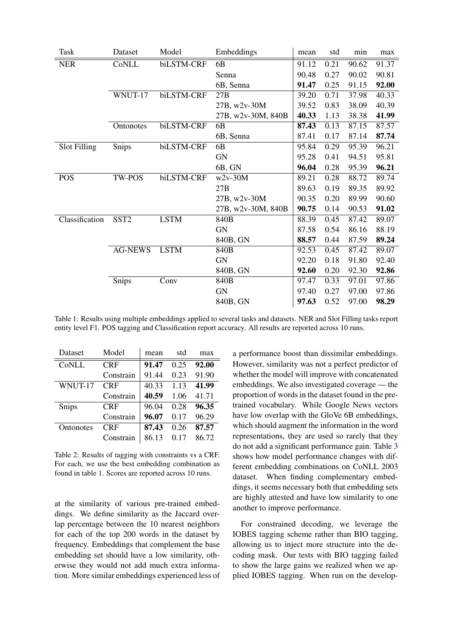<span id="page-2-0"></span>

| Task                | Dataset          | Model       | Embeddings         | mean  | std  | min   | max   |
|---------------------|------------------|-------------|--------------------|-------|------|-------|-------|
| <b>NER</b>          | CoNLL            | biLSTM-CRF  | 6 <sub>B</sub>     | 91.12 | 0.21 | 90.62 | 91.37 |
|                     |                  |             | Senna              | 90.48 | 0.27 | 90.02 | 90.81 |
|                     |                  |             | 6B, Senna          | 91.47 | 0.25 | 91.15 | 92.00 |
|                     | WNUT-17          | biLSTM-CRF  | 27B                | 39.20 | 0.71 | 37.98 | 40.33 |
|                     |                  |             | 27B, w2v-30M       | 39.52 | 0.83 | 38.09 | 40.39 |
|                     |                  |             | 27B, w2v-30M, 840B | 40.33 | 1.13 | 38.38 | 41.99 |
|                     | Ontonotes        | biLSTM-CRF  | 6 <sub>B</sub>     | 87.43 | 0.13 | 87.15 | 87.57 |
|                     |                  |             | 6B, Senna          | 87.41 | 0.17 | 87.14 | 87.74 |
| <b>Slot Filling</b> | Snips            | biLSTM-CRF  | 6 <sub>B</sub>     | 95.84 | 0.29 | 95.39 | 96.21 |
|                     |                  |             | <b>GN</b>          | 95.28 | 0.41 | 94.51 | 95.81 |
|                     |                  |             | 6B, GN             | 96.04 | 0.28 | 95.39 | 96.21 |
| <b>POS</b>          | <b>TW-POS</b>    | biLSTM-CRF  | $w2v-30M$          | 89.21 | 0.28 | 88.72 | 89.74 |
|                     |                  |             | 27B                | 89.63 | 0.19 | 89.35 | 89.92 |
|                     |                  |             | 27B, w2v-30M       | 90.35 | 0.20 | 89.99 | 90.60 |
|                     |                  |             | 27B, w2v-30M, 840B | 90.75 | 0.14 | 90.53 | 91.02 |
| Classification      | SST <sub>2</sub> | <b>LSTM</b> | 840B               | 88.39 | 0.45 | 87.42 | 89.07 |
|                     |                  |             | GN                 | 87.58 | 0.54 | 86.16 | 88.19 |
|                     |                  |             | 840B, GN           | 88.57 | 0.44 | 87.59 | 89.24 |
|                     | <b>AG-NEWS</b>   | <b>LSTM</b> | 840B               | 92.53 | 0.45 | 87.42 | 89.07 |
|                     |                  |             | <b>GN</b>          | 92.20 | 0.18 | 91.80 | 92.40 |
|                     |                  |             | 840B, GN           | 92.60 | 0.20 | 92.30 | 92.86 |
|                     | Snips            | Conv        | 840B               | 97.47 | 0.33 | 97.01 | 97.86 |
|                     |                  |             | <b>GN</b>          | 97.40 | 0.27 | 97.00 | 97.86 |
|                     |                  |             | 840B, GN           | 97.63 | 0.52 | 97.00 | 98.29 |

Table 1: Results using multiple embeddings applied to several tasks and datasets. NER and Slot Filling tasks report entity level F1. POS tagging and Classification report accuracy. All results are reported across 10 runs.

<span id="page-2-1"></span>

| Dataset   | Model      | mean  | std  | max   |
|-----------|------------|-------|------|-------|
| CoNLL     | <b>CRF</b> | 91.47 | 0.25 | 92.00 |
|           | Constrain  | 91.44 | 0.23 | 91.90 |
| WNUT-17   | <b>CRF</b> | 40.33 | 1.13 | 41.99 |
|           | Constrain  | 40.59 | 1.06 | 41.71 |
| Snips     | <b>CRF</b> | 96.04 | 0.28 | 96.35 |
|           | Constrain  | 96.07 | 0.17 | 96.29 |
| Ontonotes | <b>CRF</b> | 87.43 | 0.26 | 87.57 |
|           | Constrain  | 86.13 |      | 86.72 |

Table 2: Results of tagging with constraints vs a CRF. For each, we use the best embedding combination as found in table [1.](#page-2-0) Scores are reported across 10 runs.

at the similarity of various pre-trained embeddings. We define similarity as the Jaccard overlap percentage between the 10 nearest neighbors for each of the top 200 words in the dataset by frequency. Embeddings that complement the base embedding set should have a low similarity, otherwise they would not add much extra information. More similar embeddings experienced less of a performance boost than dissimilar embeddings. However, similarity was not a perfect predictor of whether the model will improve with concatenated embeddings. We also investigated coverage — the proportion of words in the dataset found in the pretrained vocabulary. While Google News vectors have low overlap with the GloVe 6B embeddings, which should augment the information in the word representations, they are used so rarely that they do not add a significant performance gain. Table [3](#page-3-1) shows how model performance changes with different embedding combinations on CoNLL 2003 dataset. When finding complementary embeddings, it seems necessary both that embedding sets are highly attested and have low similarity to one another to improve performance.

For constrained decoding, we leverage the IOBES tagging scheme rather than BIO tagging, allowing us to inject more structure into the decoding mask. Our tests with BIO tagging failed to show the large gains we realized when we applied IOBES tagging. When run on the develop-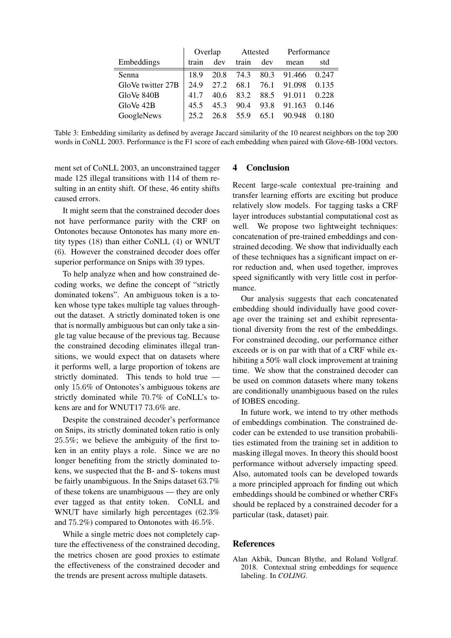<span id="page-3-1"></span>

|                   | Overlap |      | Attested  |      | Performance |       |
|-------------------|---------|------|-----------|------|-------------|-------|
| Embeddings        | train   | dev  | train     | dev  | mean        | std   |
| Senna             | 18.9    |      | 20.8 74.3 |      | 80.3 91.466 | 0.247 |
| GloVe twitter 27B | 24.9    | 27.2 | 68.1      | 76.1 | 91.098      | 0.135 |
| GloVe 840B        | 41.7    | 40.6 | 83.2      |      | 88.5 91.011 | 0.228 |
| GloVe 42B         | 45.5    | 453  | 90.4      | 93.8 | 91.163      | 0.146 |
| GoogleNews        | 25.2    | 26.8 | 55.9      | 65.1 | 90.948      | 0.180 |

Table 3: Embedding similarity as defined by average Jaccard similarity of the 10 nearest neighbors on the top 200 words in CoNLL 2003. Performance is the F1 score of each embedding when paired with Glove-6B-100d vectors.

ment set of CoNLL 2003, an unconstrained tagger made 125 illegal transitions with 114 of them resulting in an entity shift. Of these, 46 entity shifts caused errors.

It might seem that the constrained decoder does not have performance parity with the CRF on Ontonotes because Ontonotes has many more entity types (18) than either CoNLL (4) or WNUT (6). However the constrained decoder does offer superior performance on Snips with 39 types.

To help analyze when and how constrained decoding works, we define the concept of "strictly dominated tokens". An ambiguous token is a token whose type takes multiple tag values throughout the dataset. A strictly dominated token is one that is normally ambiguous but can only take a single tag value because of the previous tag. Because the constrained decoding eliminates illegal transitions, we would expect that on datasets where it performs well, a large proportion of tokens are strictly dominated. This tends to hold true only 15.6% of Ontonotes's ambiguous tokens are strictly dominated while 70.7% of CoNLL's tokens are and for WNUT17 73.6% are.

Despite the constrained decoder's performance on Snips, its strictly dominated token ratio is only 25.5%; we believe the ambiguity of the first token in an entity plays a role. Since we are no longer benefiting from the strictly dominated tokens, we suspected that the B- and S- tokens must be fairly unambiguous. In the Snips dataset 63.7% of these tokens are unambiguous — they are only ever tagged as that entity token. CoNLL and WNUT have similarly high percentages (62.3%) and 75.2%) compared to Ontonotes with 46.5%.

While a single metric does not completely capture the effectiveness of the constrained decoding, the metrics chosen are good proxies to estimate the effectiveness of the constrained decoder and the trends are present across multiple datasets.

# 4 Conclusion

Recent large-scale contextual pre-training and transfer learning efforts are exciting but produce relatively slow models. For tagging tasks a CRF layer introduces substantial computational cost as well. We propose two lightweight techniques: concatenation of pre-trained embeddings and constrained decoding. We show that individually each of these techniques has a significant impact on error reduction and, when used together, improves speed significantly with very little cost in performance.

Our analysis suggests that each concatenated embedding should individually have good coverage over the training set and exhibit representational diversity from the rest of the embeddings. For constrained decoding, our performance either exceeds or is on par with that of a CRF while exhibiting a 50% wall clock improvement at training time. We show that the constrained decoder can be used on common datasets where many tokens are conditionally unambiguous based on the rules of IOBES encoding.

In future work, we intend to try other methods of embeddings combination. The constrained decoder can be extended to use transition probabilities estimated from the training set in addition to masking illegal moves. In theory this should boost performance without adversely impacting speed. Also, automated tools can be developed towards a more principled approach for finding out which embeddings should be combined or whether CRFs should be replaced by a constrained decoder for a particular (task, dataset) pair.

# References

<span id="page-3-0"></span>Alan Akbik, Duncan Blythe, and Roland Vollgraf. 2018. Contextual string embeddings for sequence labeling. In *COLING*.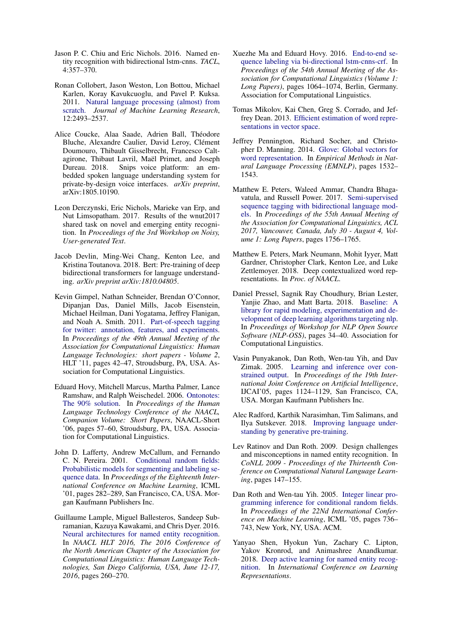- <span id="page-4-8"></span>Jason P. C. Chiu and Eric Nichols. 2016. Named entity recognition with bidirectional lstm-cnns. *TACL*, 4:357–370.
- <span id="page-4-2"></span>Ronan Collobert, Jason Weston, Lon Bottou, Michael Karlen, Koray Kavukcuoglu, and Pavel P. Kuksa. 2011. [Natural language processing \(almost\) from](http://dblp.uni-trier.de/db/journals/jmlr/jmlr12.html#CollobertWBKKK11) [scratch.](http://dblp.uni-trier.de/db/journals/jmlr/jmlr12.html#CollobertWBKKK11) *Journal of Machine Learning Research*, 12:2493–2537.
- <span id="page-4-15"></span>Alice Coucke, Alaa Saade, Adrien Ball, Théodore Bluche, Alexandre Caulier, David Leroy, Clément Doumouro, Thibault Gisselbrecht, Francesco Caltagirone, Thibaut Lavril, Maël Primet, and Joseph Dureau. 2018. Snips voice platform: an embedded spoken language understanding system for private-by-design voice interfaces. *arXiv preprint*, arXiv:1805.10190.
- <span id="page-4-13"></span>Leon Derczynski, Eric Nichols, Marieke van Erp, and Nut Limsopatham. 2017. Results of the wnut2017 shared task on novel and emerging entity recognition. In *Proceedings of the 3rd Workshop on Noisy, User-generated Text*.
- <span id="page-4-12"></span>Jacob Devlin, Ming-Wei Chang, Kenton Lee, and Kristina Toutanova. 2018. Bert: Pre-training of deep bidirectional transformers for language understanding. *arXiv preprint arXiv:1810.04805*.
- <span id="page-4-16"></span>Kevin Gimpel, Nathan Schneider, Brendan O'Connor, Dipanjan Das, Daniel Mills, Jacob Eisenstein, Michael Heilman, Dani Yogatama, Jeffrey Flanigan, and Noah A. Smith. 2011. [Part-of-speech tagging](http://dl.acm.org/citation.cfm?id=2002736.2002747) [for twitter: annotation, features, and experiments.](http://dl.acm.org/citation.cfm?id=2002736.2002747) In *Proceedings of the 49th Annual Meeting of the Association for Computational Linguistics: Human Language Technologies: short papers - Volume 2*, HLT '11, pages 42–47, Stroudsburg, PA, USA. Association for Computational Linguistics.
- <span id="page-4-14"></span>Eduard Hovy, Mitchell Marcus, Martha Palmer, Lance Ramshaw, and Ralph Weischedel. 2006. [Ontonotes:](http://dl.acm.org/citation.cfm?id=1614049.1614064) [The 90% solution.](http://dl.acm.org/citation.cfm?id=1614049.1614064) In *Proceedings of the Human Language Technology Conference of the NAACL, Companion Volume: Short Papers*, NAACL-Short '06, pages 57–60, Stroudsburg, PA, USA. Association for Computational Linguistics.
- <span id="page-4-1"></span>John D. Lafferty, Andrew McCallum, and Fernando C. N. Pereira. 2001. [Conditional random fields:](http://dl.acm.org/citation.cfm?id=645530.655813) [Probabilistic models for segmenting and labeling se](http://dl.acm.org/citation.cfm?id=645530.655813)[quence data.](http://dl.acm.org/citation.cfm?id=645530.655813) In *Proceedings of the Eighteenth International Conference on Machine Learning*, ICML '01, pages 282–289, San Francisco, CA, USA. Morgan Kaufmann Publishers Inc.
- <span id="page-4-4"></span>Guillaume Lample, Miguel Ballesteros, Sandeep Subramanian, Kazuya Kawakami, and Chris Dyer. 2016. [Neural architectures for named entity recognition.](http://aclweb.org/anthology/N/N16/N16-1030.pdf) In *NAACL HLT 2016, The 2016 Conference of the North American Chapter of the Association for Computational Linguistics: Human Language Technologies, San Diego California, USA, June 12-17, 2016*, pages 260–270.
- <span id="page-4-3"></span>Xuezhe Ma and Eduard Hovy. 2016. [End-to-end se](http://www.aclweb.org/anthology/P16-1101)[quence labeling via bi-directional lstm-cnns-crf.](http://www.aclweb.org/anthology/P16-1101) In *Proceedings of the 54th Annual Meeting of the Association for Computational Linguistics (Volume 1: Long Papers)*, pages 1064–1074, Berlin, Germany. Association for Computational Linguistics.
- <span id="page-4-19"></span>Tomas Mikolov, Kai Chen, Greg S. Corrado, and Jeffrey Dean. 2013. [Efficient estimation of word repre](http://arxiv.org/abs/1301.3781)[sentations in vector space.](http://arxiv.org/abs/1301.3781)
- <span id="page-4-17"></span>Jeffrey Pennington, Richard Socher, and Christopher D. Manning. 2014. [Glove: Global vectors for](http://www.aclweb.org/anthology/D14-1162) [word representation.](http://www.aclweb.org/anthology/D14-1162) In *Empirical Methods in Natural Language Processing (EMNLP)*, pages 1532– 1543.
- <span id="page-4-10"></span>Matthew E. Peters, Waleed Ammar, Chandra Bhagavatula, and Russell Power. 2017. [Semi-supervised](https://doi.org/10.18653/v1/P17-1161) [sequence tagging with bidirectional language mod](https://doi.org/10.18653/v1/P17-1161)[els.](https://doi.org/10.18653/v1/P17-1161) In *Proceedings of the 55th Annual Meeting of the Association for Computational Linguistics, ACL 2017, Vancouver, Canada, July 30 - August 4, Volume 1: Long Papers*, pages 1756–1765.
- <span id="page-4-9"></span>Matthew E. Peters, Mark Neumann, Mohit Iyyer, Matt Gardner, Christopher Clark, Kenton Lee, and Luke Zettlemoyer. 2018. Deep contextualized word representations. In *Proc. of NAACL*.
- <span id="page-4-18"></span>Daniel Pressel, Sagnik Ray Choudhury, Brian Lester, Yanjie Zhao, and Matt Barta. 2018. [Baseline: A](http://aclweb.org/anthology/W18-2506) [library for rapid modeling, experimentation and de](http://aclweb.org/anthology/W18-2506)[velopment of deep learning algorithms targeting nlp.](http://aclweb.org/anthology/W18-2506) In *Proceedings of Workshop for NLP Open Source Software (NLP-OSS)*, pages 34–40. Association for Computational Linguistics.
- <span id="page-4-6"></span>Vasin Punyakanok, Dan Roth, Wen-tau Yih, and Dav Zimak. 2005. [Learning and inference over con](http://dl.acm.org/citation.cfm?id=1642293.1642473)[strained output.](http://dl.acm.org/citation.cfm?id=1642293.1642473) In *Proceedings of the 19th International Joint Conference on Artificial Intelligence*, IJCAI'05, pages 1124–1129, San Francisco, CA, USA. Morgan Kaufmann Publishers Inc.
- <span id="page-4-11"></span>Alec Radford, Karthik Narasimhan, Tim Salimans, and Ilya Sutskever. 2018. [Improving language under](https://s3-us-west-2.amazonaws.com/openai-assets/research-covers/language-unsupervised/language_understanding_paper.pdf)[standing by generative pre-training.](https://s3-us-west-2.amazonaws.com/openai-assets/research-covers/language-unsupervised/language_understanding_paper.pdf)
- <span id="page-4-0"></span>Lev Ratinov and Dan Roth. 2009. Design challenges and misconceptions in named entity recognition. In *CoNLL 2009 - Proceedings of the Thirteenth Conference on Computational Natural Language Learning*, pages 147–155.
- <span id="page-4-5"></span>Dan Roth and Wen-tau Yih. 2005. [Integer linear pro](https://doi.org/10.1145/1102351.1102444)[gramming inference for conditional random fields.](https://doi.org/10.1145/1102351.1102444) In *Proceedings of the 22Nd International Conference on Machine Learning*, ICML '05, pages 736– 743, New York, NY, USA. ACM.
- <span id="page-4-7"></span>Yanyao Shen, Hyokun Yun, Zachary C. Lipton, Yakov Kronrod, and Animashree Anandkumar. 2018. [Deep active learning for named entity recog](https://openreview.net/forum?id=ry018WZAZ)[nition.](https://openreview.net/forum?id=ry018WZAZ) In *International Conference on Learning Representations*.